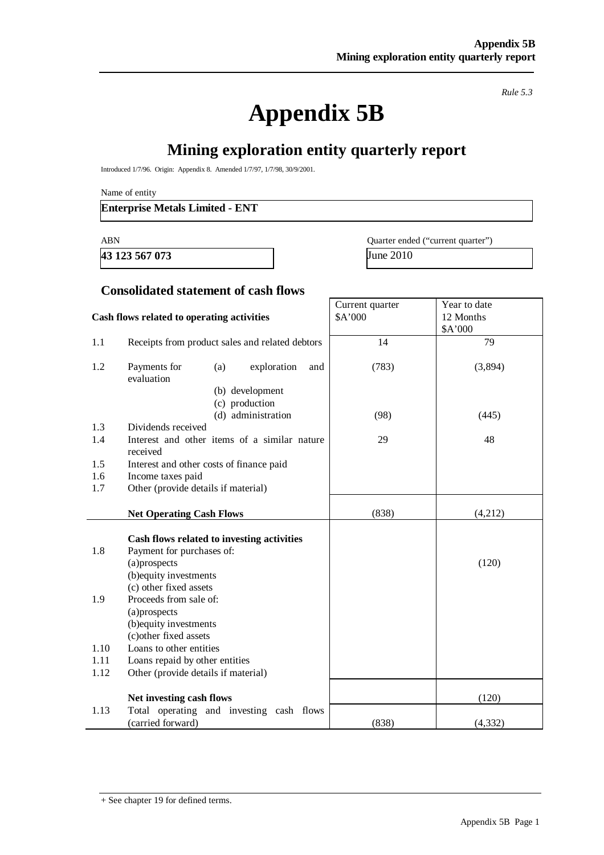*Rule 5.3* 

# **Appendix 5B**

## **Mining exploration entity quarterly report**

Introduced 1/7/96. Origin: Appendix 8. Amended 1/7/97, 1/7/98, 30/9/2001.

Name of entity

#### **Enterprise Metals Limited - ENT**

**43 123 567 073** June 2010

ABN Quarter ended ("current quarter")

## **Consolidated statement of cash flows**

#### **Cash flows related to operating activities**  Current quarter \$A'000 Year to date 12 Months \$A'000 1.1 Receipts from product sales and related debtors 14 14 79 1.2 Payments for (a) exploration and evaluation (b) development (c) production (d) administration (783) (98) (3,894) (445) 1.3 Dividends received 1.4 Interest and other items of a similar nature received 29 48 1.5 Interest and other costs of finance paid 1.6 Income taxes paid 1.7 Other (provide details if material) **Net Operating Cash Flows** (838) (4,212) **Cash flows related to investing activities**  1.8 Payment for purchases of: (a)prospects (b)equity investments (c) other fixed assets (120) 1.9 Proceeds from sale of: (a)prospects (b)equity investments (c)other fixed assets 1.10 Loans to other entities 1.11 Loans repaid by other entities 1.12 Other (provide details if material) **Net investing cash flows** (120) 1.13 Total operating and investing cash flows  $(\text{carried forward})$  (838) (4,332)

<sup>+</sup> See chapter 19 for defined terms.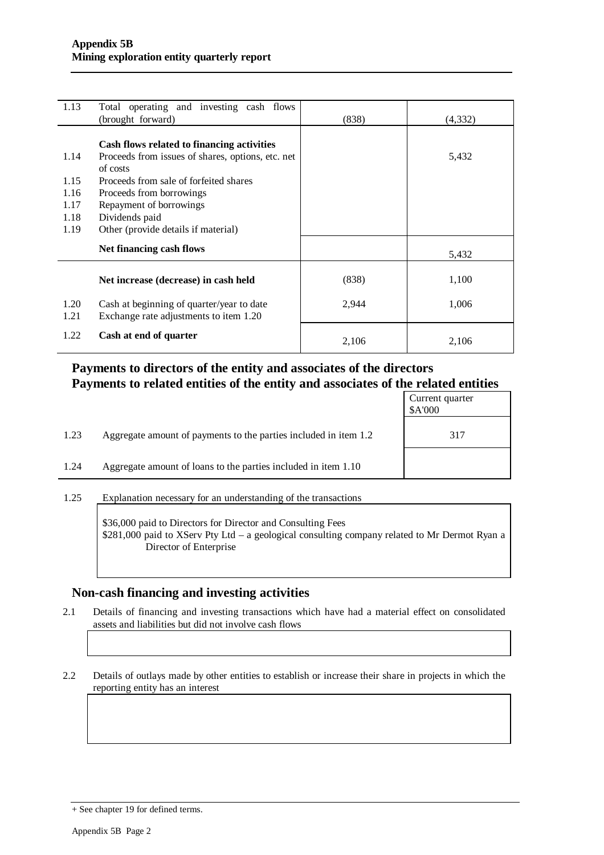| 1.13 | Total operating and investing cash flows<br>(brought forward) | (838) | (4,332) |
|------|---------------------------------------------------------------|-------|---------|
|      |                                                               |       |         |
|      |                                                               |       |         |
|      | Cash flows related to financing activities                    |       |         |
| 1.14 | Proceeds from issues of shares, options, etc. net             |       | 5,432   |
|      | of costs                                                      |       |         |
| 1.15 | Proceeds from sale of forfeited shares                        |       |         |
| 1.16 | Proceeds from borrowings                                      |       |         |
| 1.17 | Repayment of borrowings                                       |       |         |
| 1.18 | Dividends paid                                                |       |         |
| 1.19 | Other (provide details if material)                           |       |         |
|      |                                                               |       |         |
|      | Net financing cash flows                                      |       | 5,432   |
|      |                                                               |       |         |
|      | Net increase (decrease) in cash held                          | (838) | 1,100   |
|      |                                                               |       |         |
| 1.20 | Cash at beginning of quarter/year to date                     | 2,944 | 1,006   |
| 1.21 | Exchange rate adjustments to item 1.20                        |       |         |
|      |                                                               |       |         |
| 1.22 | Cash at end of quarter                                        |       |         |
|      |                                                               | 2,106 | 2,106   |

#### **Payments to directors of the entity and associates of the directors Payments to related entities of the entity and associates of the related entities**

|      |                                                                  | Current quarter<br>\$A'000 |
|------|------------------------------------------------------------------|----------------------------|
| 1.23 | Aggregate amount of payments to the parties included in item 1.2 | 317                        |
| 1.24 | Aggregate amount of loans to the parties included in item 1.10   |                            |

1.25 Explanation necessary for an understanding of the transactions

\$36,000 paid to Directors for Director and Consulting Fees \$281,000 paid to XServ Pty Ltd – a geological consulting company related to Mr Dermot Ryan a Director of Enterprise

#### **Non-cash financing and investing activities**

2.1 Details of financing and investing transactions which have had a material effect on consolidated assets and liabilities but did not involve cash flows

2.2 Details of outlays made by other entities to establish or increase their share in projects in which the reporting entity has an interest

<sup>+</sup> See chapter 19 for defined terms.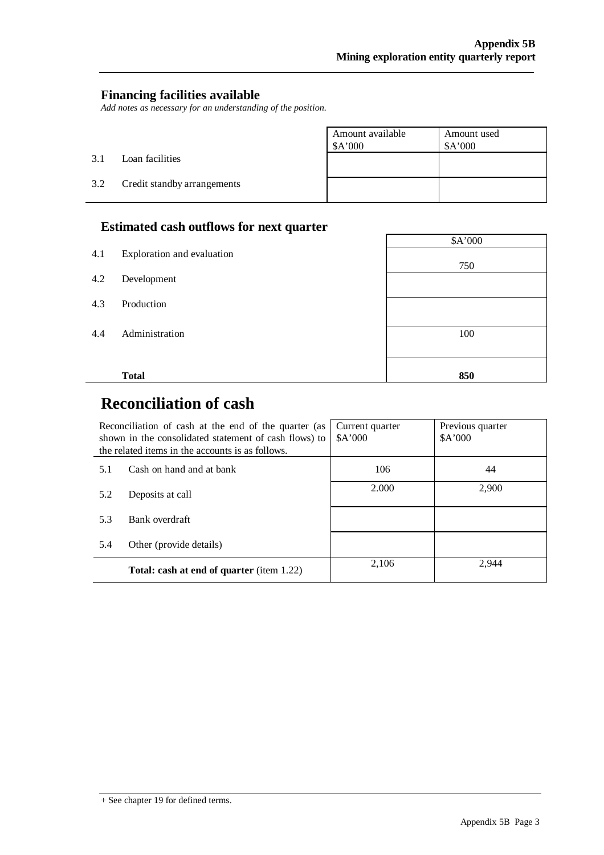٦

#### **Financing facilities available**

*Add notes as necessary for an understanding of the position.* 

|     |                             | Amount available<br>\$A'000 | Amount used<br>\$A'000 |
|-----|-----------------------------|-----------------------------|------------------------|
| 3.1 | Loan facilities             |                             |                        |
| 3.2 | Credit standby arrangements |                             |                        |

#### **Estimated cash outflows for next quarter**

|     |                            | \$A'000 |
|-----|----------------------------|---------|
| 4.1 | Exploration and evaluation |         |
|     |                            | 750     |
| 4.2 | Development                |         |
|     |                            |         |
| 4.3 | Production                 |         |
|     |                            |         |
| 4.4 | Administration             | 100     |
|     |                            |         |
|     |                            |         |
|     | <b>Total</b>               | 850     |
|     |                            |         |

## **Reconciliation of cash**

 $\overline{a}$ 

|     | Reconciliation of cash at the end of the quarter (as<br>shown in the consolidated statement of cash flows) to<br>the related items in the accounts is as follows. | Current quarter<br>\$A'000 | Previous quarter<br>A'000 |
|-----|-------------------------------------------------------------------------------------------------------------------------------------------------------------------|----------------------------|---------------------------|
| 5.1 | Cash on hand and at bank                                                                                                                                          | 106                        | 44                        |
| 5.2 | Deposits at call                                                                                                                                                  | 2.000                      | 2,900                     |
| 5.3 | Bank overdraft                                                                                                                                                    |                            |                           |
| 5.4 | Other (provide details)                                                                                                                                           |                            |                           |
|     | <b>Total: cash at end of quarter</b> (item 1.22)                                                                                                                  | 2,106                      | 2.944                     |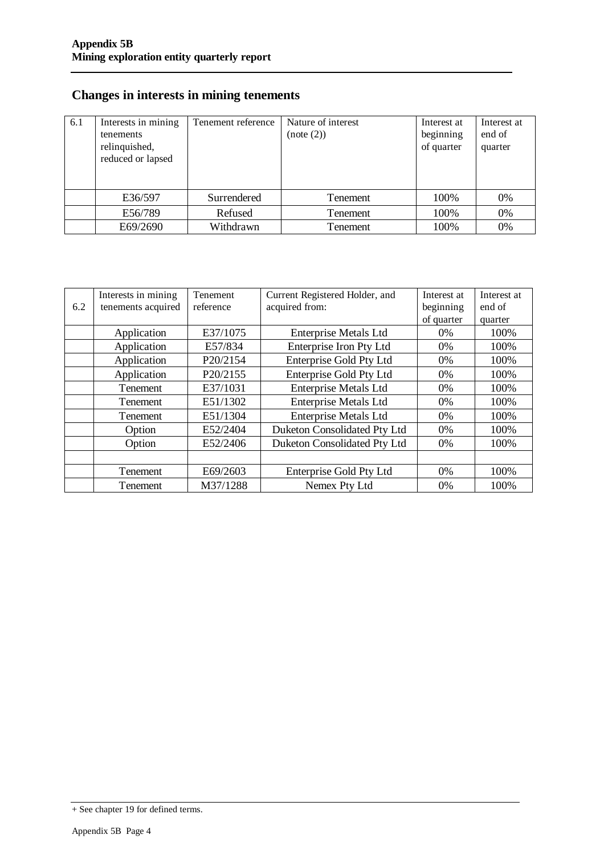### **Changes in interests in mining tenements**

| 6.1 | Interests in mining<br>tenements<br>relinquished,<br>reduced or lapsed | Tenement reference | Nature of interest<br>(note (2)) | Interest at<br>beginning<br>of quarter | Interest at<br>end of<br>quarter |
|-----|------------------------------------------------------------------------|--------------------|----------------------------------|----------------------------------------|----------------------------------|
|     | E36/597                                                                | Surrendered        | Tenement                         | 100%                                   | 0%                               |
|     | E56/789                                                                | Refused            | Tenement                         | 100%                                   | 0%                               |
|     | E69/2690                                                               | Withdrawn          | Tenement                         | 100%                                   | 0%                               |

|     | Interests in mining | Tenement  | Current Registered Holder, and | Interest at | Interest at |
|-----|---------------------|-----------|--------------------------------|-------------|-------------|
| 6.2 | tenements acquired  | reference | acquired from:                 | beginning   | end of      |
|     |                     |           |                                | of quarter  | quarter     |
|     | Application         | E37/1075  | <b>Enterprise Metals Ltd</b>   | $0\%$       | 100%        |
|     | Application         | E57/834   | Enterprise Iron Pty Ltd        | $0\%$       | 100%        |
|     | Application         | P20/2154  | <b>Enterprise Gold Pty Ltd</b> | $0\%$       | 100%        |
|     | Application         | P20/2155  | <b>Enterprise Gold Pty Ltd</b> | $0\%$       | 100%        |
|     | <b>Tenement</b>     | E37/1031  | <b>Enterprise Metals Ltd</b>   | $0\%$       | 100%        |
|     | <b>Tenement</b>     | E51/1302  | <b>Enterprise Metals Ltd</b>   | $0\%$       | 100%        |
|     | Tenement            | E51/1304  | <b>Enterprise Metals Ltd</b>   | $0\%$       | 100%        |
|     | Option              | E52/2404  | Duketon Consolidated Pty Ltd   | $0\%$       | 100%        |
|     | Option              | E52/2406  | Duketon Consolidated Pty Ltd   | $0\%$       | 100%        |
|     |                     |           |                                |             |             |
|     | Tenement            | E69/2603  | Enterprise Gold Pty Ltd        | $0\%$       | 100%        |
|     | Tenement            | M37/1288  | Nemex Pty Ltd                  | $0\%$       | 100%        |

<sup>+</sup> See chapter 19 for defined terms.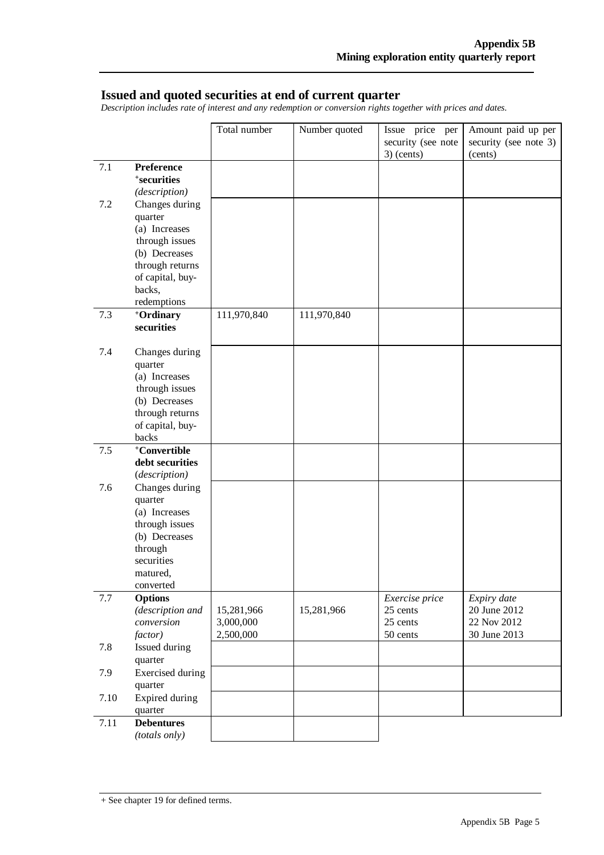#### **Issued and quoted securities at end of current quarter**

*Description includes rate of interest and any redemption or conversion rights together with prices and dates.* 

|      |                                     | Total number           | Number quoted | Issue price per                    | Amount paid up per               |
|------|-------------------------------------|------------------------|---------------|------------------------------------|----------------------------------|
|      |                                     |                        |               | security (see note<br>$3)$ (cents) | security (see note 3)<br>(cents) |
| 7.1  | <b>Preference</b>                   |                        |               |                                    |                                  |
|      | <sup>+</sup> securities             |                        |               |                                    |                                  |
|      | (description)                       |                        |               |                                    |                                  |
| 7.2  | Changes during                      |                        |               |                                    |                                  |
|      | quarter                             |                        |               |                                    |                                  |
|      | (a) Increases                       |                        |               |                                    |                                  |
|      | through issues                      |                        |               |                                    |                                  |
|      | (b) Decreases                       |                        |               |                                    |                                  |
|      | through returns                     |                        |               |                                    |                                  |
|      | of capital, buy-                    |                        |               |                                    |                                  |
|      | backs,                              |                        |               |                                    |                                  |
|      | redemptions                         |                        |               |                                    |                                  |
| 7.3  | +Ordinary                           | 111,970,840            | 111,970,840   |                                    |                                  |
|      | securities                          |                        |               |                                    |                                  |
| 7.4  | Changes during                      |                        |               |                                    |                                  |
|      | quarter                             |                        |               |                                    |                                  |
|      | (a) Increases                       |                        |               |                                    |                                  |
|      | through issues                      |                        |               |                                    |                                  |
|      | (b) Decreases                       |                        |               |                                    |                                  |
|      | through returns<br>of capital, buy- |                        |               |                                    |                                  |
|      | backs                               |                        |               |                                    |                                  |
| 7.5  | <sup>+</sup> Convertible            |                        |               |                                    |                                  |
|      | debt securities                     |                        |               |                                    |                                  |
|      | (description)                       |                        |               |                                    |                                  |
| 7.6  | Changes during                      |                        |               |                                    |                                  |
|      | quarter                             |                        |               |                                    |                                  |
|      | (a) Increases                       |                        |               |                                    |                                  |
|      | through issues                      |                        |               |                                    |                                  |
|      | (b) Decreases                       |                        |               |                                    |                                  |
|      | through                             |                        |               |                                    |                                  |
|      | securities                          |                        |               |                                    |                                  |
|      | matured.                            |                        |               |                                    |                                  |
|      | converted                           |                        |               |                                    |                                  |
| 7.7  | <b>Options</b>                      |                        |               | Exercise price                     | Expiry date                      |
|      | (description and                    | 15,281,966             | 15,281,966    | 25 cents                           | 20 June 2012                     |
|      | conversion                          | 3,000,000<br>2,500,000 |               | 25 cents<br>50 cents               | 22 Nov 2012<br>30 June 2013      |
|      | factor)                             |                        |               |                                    |                                  |
| 7.8  | Issued during<br>quarter            |                        |               |                                    |                                  |
| 7.9  | <b>Exercised</b> during             |                        |               |                                    |                                  |
|      | quarter                             |                        |               |                                    |                                  |
| 7.10 | Expired during                      |                        |               |                                    |                                  |
|      | quarter                             |                        |               |                                    |                                  |
| 7.11 | <b>Debentures</b>                   |                        |               |                                    |                                  |
|      | (totals only)                       |                        |               |                                    |                                  |

<sup>+</sup> See chapter 19 for defined terms.